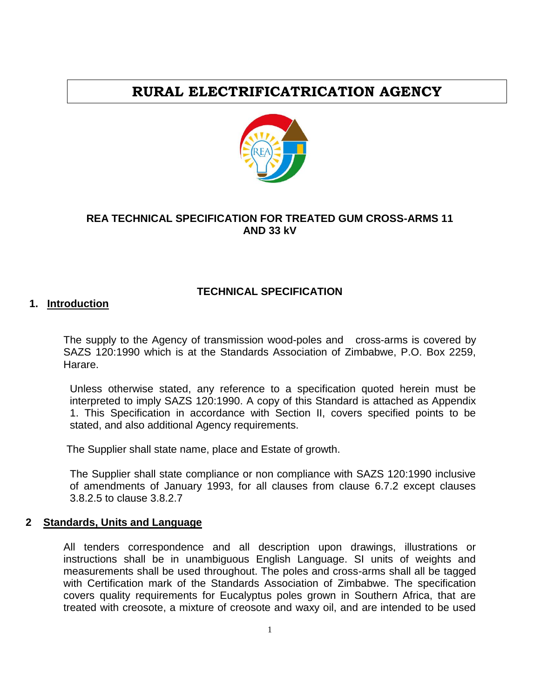# **RURAL ELECTRIFICATRICATION AGENCY**



# **REA TECHNICAL SPECIFICATION FOR TREATED GUM CROSS-ARMS 11 AND 33 kV**

#### **TECHNICAL SPECIFICATION**

#### **1. Introduction**

The supply to the Agency of transmission wood-poles and cross-arms is covered by SAZS 120:1990 which is at the Standards Association of Zimbabwe, P.O. Box 2259, Harare.

Unless otherwise stated, any reference to a specification quoted herein must be interpreted to imply SAZS 120:1990. A copy of this Standard is attached as Appendix 1. This Specification in accordance with Section II, covers specified points to be stated, and also additional Agency requirements.

The Supplier shall state name, place and Estate of growth.

The Supplier shall state compliance or non compliance with SAZS 120:1990 inclusive of amendments of January 1993, for all clauses from clause 6.7.2 except clauses 3.8.2.5 to clause 3.8.2.7

#### **2 Standards, Units and Language**

All tenders correspondence and all description upon drawings, illustrations or instructions shall be in unambiguous English Language. SI units of weights and measurements shall be used throughout. The poles and cross-arms shall all be tagged with Certification mark of the Standards Association of Zimbabwe. The specification covers quality requirements for Eucalyptus poles grown in Southern Africa, that are treated with creosote, a mixture of creosote and waxy oil, and are intended to be used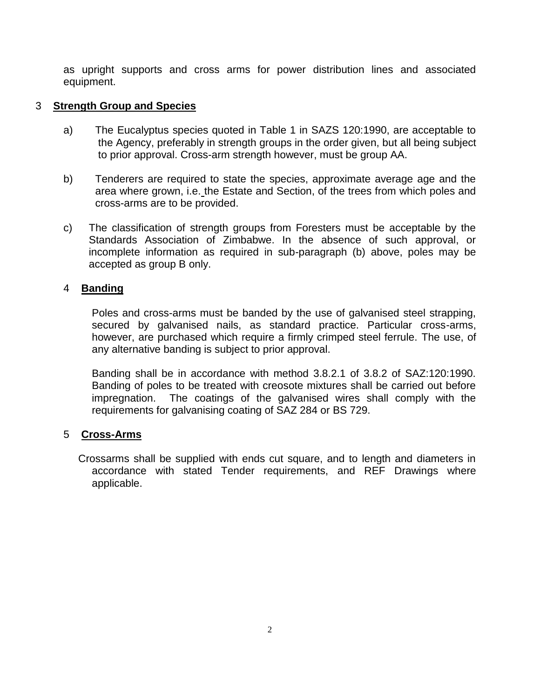as upright supports and cross arms for power distribution lines and associated equipment.

### 3 **Strength Group and Species**

- a) The Eucalyptus species quoted in Table 1 in SAZS 120:1990, are acceptable to the Agency, preferably in strength groups in the order given, but all being subject to prior approval. Cross-arm strength however, must be group AA.
- b) Tenderers are required to state the species, approximate average age and the area where grown, i.e. the Estate and Section, of the trees from which poles and cross-arms are to be provided.
- c) The classification of strength groups from Foresters must be acceptable by the Standards Association of Zimbabwe. In the absence of such approval, or incomplete information as required in sub-paragraph (b) above, poles may be accepted as group B only.

#### 4 **Banding**

Poles and cross-arms must be banded by the use of galvanised steel strapping, secured by galvanised nails, as standard practice. Particular cross-arms, however, are purchased which require a firmly crimped steel ferrule. The use, of any alternative banding is subject to prior approval.

Banding shall be in accordance with method 3.8.2.1 of 3.8.2 of SAZ:120:1990. Banding of poles to be treated with creosote mixtures shall be carried out before impregnation. The coatings of the galvanised wires shall comply with the requirements for galvanising coating of SAZ 284 or BS 729.

#### 5 **Cross-Arms**

 Crossarms shall be supplied with ends cut square, and to length and diameters in accordance with stated Tender requirements, and REF Drawings where applicable.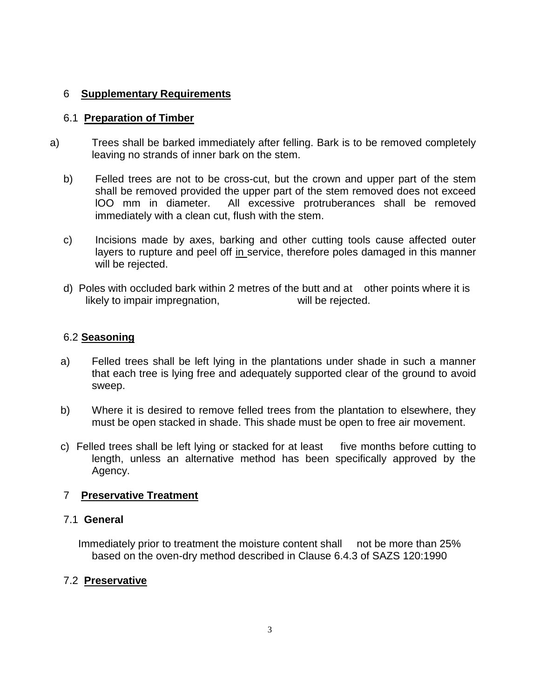# 6 **Supplementary Requirements**

# 6.1 **Preparation of Timber**

- a) Trees shall be barked immediately after felling. Bark is to be removed completely leaving no strands of inner bark on the stem.
	- b) Felled trees are not to be cross-cut, but the crown and upper part of the stem shall be removed provided the upper part of the stem removed does not exceed lOO mm in diameter. All excessive protruberances shall be removed immediately with a clean cut, flush with the stem.
	- c) Incisions made by axes, barking and other cutting tools cause affected outer layers to rupture and peel off in service, therefore poles damaged in this manner will be rejected.
	- d) Poles with occluded bark within 2 metres of the butt and at other points where it is likely to impair impregnation, will be rejected.

# 6.2 **Seasoning**

- a) Felled trees shall be left lying in the plantations under shade in such a manner that each tree is lying free and adequately supported clear of the ground to avoid sweep.
- b) Where it is desired to remove felled trees from the plantation to elsewhere, they must be open stacked in shade. This shade must be open to free air movement.
- c) Felled trees shall be left lying or stacked for at least five months before cutting to length, unless an alternative method has been specifically approved by the Agency.

# 7 **Preservative Treatment**

# 7.1 **General**

 Immediately prior to treatment the moisture content shall not be more than 25% based on the oven-dry method described in Clause 6.4.3 of SAZS 120:1990

# 7.2 **Preservative**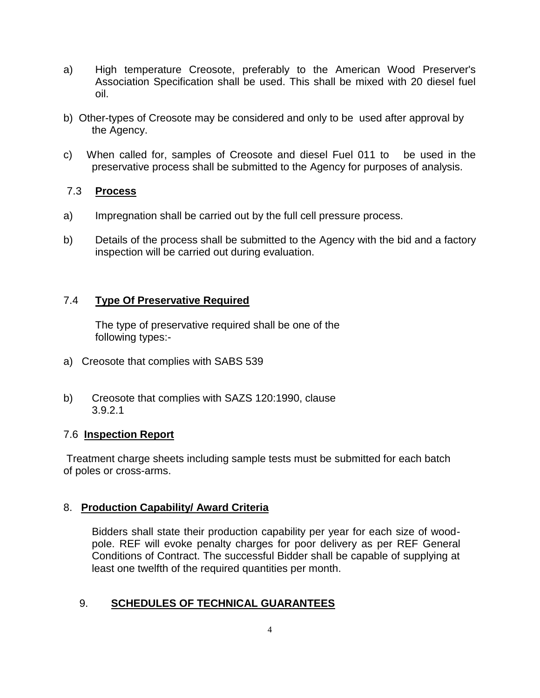- a) High temperature Creosote, preferably to the American Wood Preserver's Association Specification shall be used. This shall be mixed with 20 diesel fuel oil.
- b) Other-types of Creosote may be considered and only to be used after approval by the Agency.
- c) When called for, samples of Creosote and diesel Fuel 011 to be used in the preservative process shall be submitted to the Agency for purposes of analysis.

# 7.3 **Process**

- a) Impregnation shall be carried out by the full cell pressure process.
- b) Details of the process shall be submitted to the Agency with the bid and a factory inspection will be carried out during evaluation.

# 7.4 **Type Of Preservative Required**

The type of preservative required shall be one of the following types:-

- a) Creosote that complies with SABS 539
- b) Creosote that complies with SAZS 120:1990, clause 3.9.2.1

# 7.6 **Inspection Report**

Treatment charge sheets including sample tests must be submitted for each batch of poles or cross-arms.

# 8. **Production Capability/ Award Criteria**

Bidders shall state their production capability per year for each size of woodpole. REF will evoke penalty charges for poor delivery as per REF General Conditions of Contract. The successful Bidder shall be capable of supplying at least one twelfth of the required quantities per month.

# 9. **SCHEDULES OF TECHNICAL GUARANTEES**